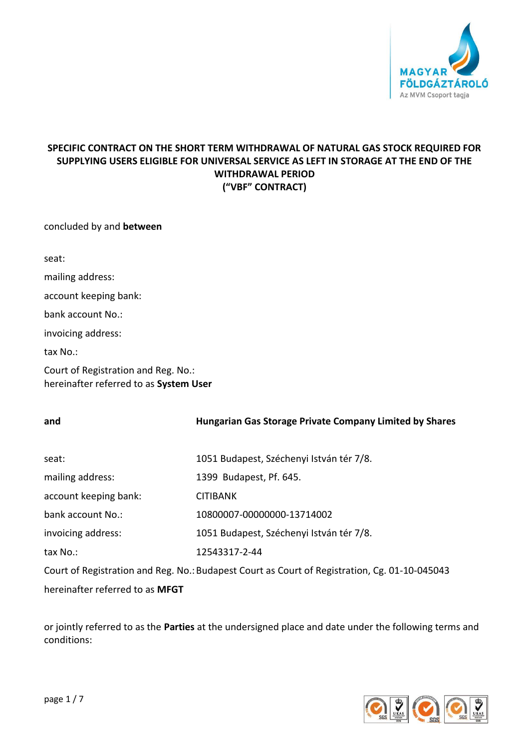

# **SPECIFIC CONTRACT ON THE SHORT TERM WITHDRAWAL OF NATURAL GAS STOCK REQUIRED FOR SUPPLYING USERS ELIGIBLE FOR UNIVERSAL SERVICE AS LEFT IN STORAGE AT THE END OF THE WITHDRAWAL PERIOD ("VBF" CONTRACT)**

concluded by and **between**

seat: mailing address: account keeping bank: bank account No.: invoicing address: tax No.:

Court of Registration and Reg. No.: hereinafter referred to as **System User**

| and                                                                                           | <b>Hungarian Gas Storage Private Company Limited by Shares</b> |  |
|-----------------------------------------------------------------------------------------------|----------------------------------------------------------------|--|
|                                                                                               |                                                                |  |
| seat:                                                                                         | 1051 Budapest, Széchenyi István tér 7/8.                       |  |
| mailing address:                                                                              | 1399 Budapest, Pf. 645.                                        |  |
| account keeping bank:                                                                         | <b>CITIBANK</b>                                                |  |
| bank account No.:                                                                             | 10800007-00000000-13714002                                     |  |
| invoicing address:                                                                            | 1051 Budapest, Széchenyi István tér 7/8.                       |  |
| tax No.:                                                                                      | 12543317-2-44                                                  |  |
| Court of Registration and Reg. No.: Budapest Court as Court of Registration, Cg. 01-10-045043 |                                                                |  |

hereinafter referred to as **MFGT**

or jointly referred to as the **Parties** at the undersigned place and date under the following terms and conditions:

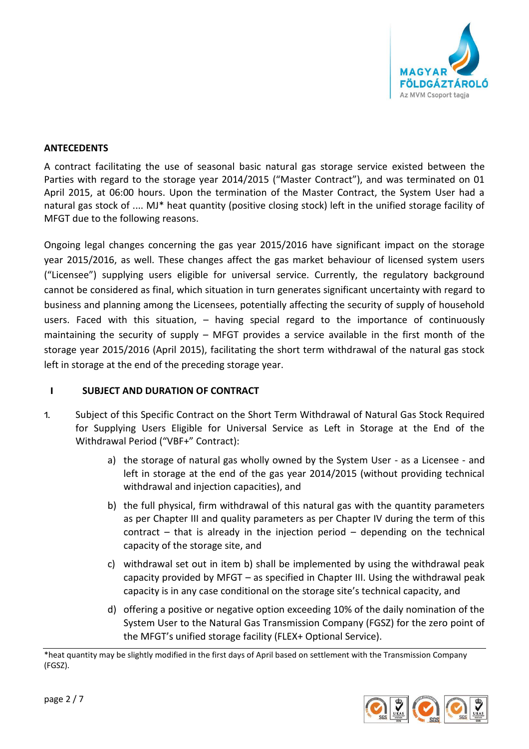

## **ANTECEDENTS**

A contract facilitating the use of seasonal basic natural gas storage service existed between the Parties with regard to the storage year 2014/2015 ("Master Contract"), and was terminated on 01 April 2015, at 06:00 hours. Upon the termination of the Master Contract, the System User had a natural gas stock of .... MJ\* heat quantity (positive closing stock) left in the unified storage facility of MFGT due to the following reasons.

Ongoing legal changes concerning the gas year 2015/2016 have significant impact on the storage year 2015/2016, as well. These changes affect the gas market behaviour of licensed system users ("Licensee") supplying users eligible for universal service. Currently, the regulatory background cannot be considered as final, which situation in turn generates significant uncertainty with regard to business and planning among the Licensees, potentially affecting the security of supply of household users. Faced with this situation, – having special regard to the importance of continuously maintaining the security of supply – MFGT provides a service available in the first month of the storage year 2015/2016 (April 2015), facilitating the short term withdrawal of the natural gas stock left in storage at the end of the preceding storage year.

### **I SUBJECT AND DURATION OF CONTRACT**

- 1. Subject of this Specific Contract on the Short Term Withdrawal of Natural Gas Stock Required for Supplying Users Eligible for Universal Service as Left in Storage at the End of the Withdrawal Period ("VBF+" Contract):
	- a) the storage of natural gas wholly owned by the System User as a Licensee and left in storage at the end of the gas year 2014/2015 (without providing technical withdrawal and injection capacities), and
	- b) the full physical, firm withdrawal of this natural gas with the quantity parameters as per Chapter III and quality parameters as per Chapter IV during the term of this contract – that is already in the injection period – depending on the technical capacity of the storage site, and
	- c) withdrawal set out in item b) shall be implemented by using the withdrawal peak capacity provided by MFGT – as specified in Chapter III. Using the withdrawal peak capacity is in any case conditional on the storage site's technical capacity, and
	- d) offering a positive or negative option exceeding 10% of the daily nomination of the System User to the Natural Gas Transmission Company (FGSZ) for the zero point of the MFGT's unified storage facility (FLEX+ Optional Service).

<sup>\*</sup>heat quantity may be slightly modified in the first days of April based on settlement with the Transmission Company (FGSZ).

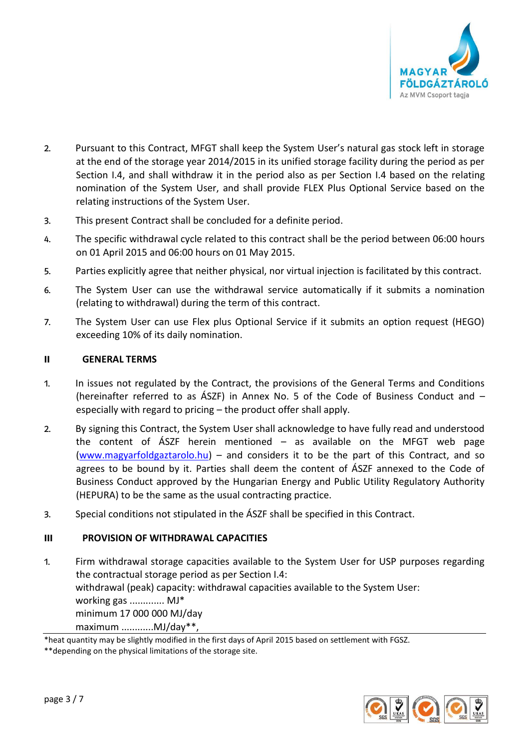

- 2. Pursuant to this Contract, MFGT shall keep the System User's natural gas stock left in storage at the end of the storage year 2014/2015 in its unified storage facility during the period as per Section I.4, and shall withdraw it in the period also as per Section I.4 based on the relating nomination of the System User, and shall provide FLEX Plus Optional Service based on the relating instructions of the System User.
- 3. This present Contract shall be concluded for a definite period.
- 4. The specific withdrawal cycle related to this contract shall be the period between 06:00 hours on 01 April 2015 and 06:00 hours on 01 May 2015.
- 5. Parties explicitly agree that neither physical, nor virtual injection is facilitated by this contract.
- 6. The System User can use the withdrawal service automatically if it submits a nomination (relating to withdrawal) during the term of this contract.
- 7. The System User can use Flex plus Optional Service if it submits an option request (HEGO) exceeding 10% of its daily nomination.

## **II GENERAL TERMS**

- 1. In issues not regulated by the Contract, the provisions of the General Terms and Conditions (hereinafter referred to as ÁSZF) in Annex No. 5 of the Code of Business Conduct and – especially with regard to pricing – the product offer shall apply.
- 2. By signing this Contract, the System User shall acknowledge to have fully read and understood the content of ÁSZF herein mentioned – as available on the MFGT web page [\(www.magyarfoldgaztarolo.hu\)](http://www.eon-foldgaz-storage.com/) – and considers it to be the part of this Contract, and so agrees to be bound by it. Parties shall deem the content of ÁSZF annexed to the Code of Business Conduct approved by the Hungarian Energy and Public Utility Regulatory Authority (HEPURA) to be the same as the usual contracting practice.
- 3. Special conditions not stipulated in the ÁSZF shall be specified in this Contract.

# **III PROVISION OF WITHDRAWAL CAPACITIES**

1. Firm withdrawal storage capacities available to the System User for USP purposes regarding the contractual storage period as per Section I.4: withdrawal (peak) capacity: withdrawal capacities available to the System User: working gas ............. MJ\* minimum 17 000 000 MJ/day maximum ............MJ/day\*\*,



<sup>\*</sup>heat quantity may be slightly modified in the first days of April 2015 based on settlement with FGSZ.

<sup>\*\*</sup>depending on the physical limitations of the storage site.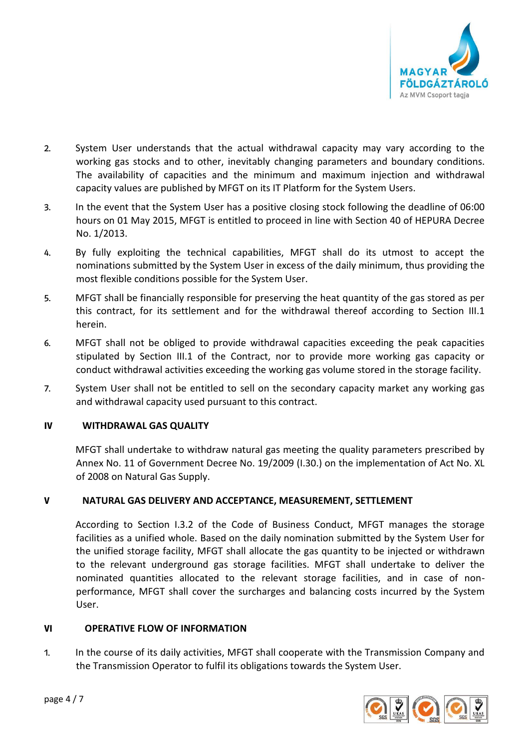

- 2. System User understands that the actual withdrawal capacity may vary according to the working gas stocks and to other, inevitably changing parameters and boundary conditions. The availability of capacities and the minimum and maximum injection and withdrawal capacity values are published by MFGT on its IT Platform for the System Users.
- 3. In the event that the System User has a positive closing stock following the deadline of 06:00 hours on 01 May 2015, MFGT is entitled to proceed in line with Section 40 of HEPURA Decree No. 1/2013.
- 4. By fully exploiting the technical capabilities, MFGT shall do its utmost to accept the nominations submitted by the System User in excess of the daily minimum, thus providing the most flexible conditions possible for the System User.
- 5. MFGT shall be financially responsible for preserving the heat quantity of the gas stored as per this contract, for its settlement and for the withdrawal thereof according to Section III.1 herein.
- 6. MFGT shall not be obliged to provide withdrawal capacities exceeding the peak capacities stipulated by Section III.1 of the Contract, nor to provide more working gas capacity or conduct withdrawal activities exceeding the working gas volume stored in the storage facility.
- 7. System User shall not be entitled to sell on the secondary capacity market any working gas and withdrawal capacity used pursuant to this contract.

# **IV WITHDRAWAL GAS QUALITY**

MFGT shall undertake to withdraw natural gas meeting the quality parameters prescribed by Annex No. 11 of Government Decree No. 19/2009 (I.30.) on the implementation of Act No. XL of 2008 on Natural Gas Supply.

# **V NATURAL GAS DELIVERY AND ACCEPTANCE, MEASUREMENT, SETTLEMENT**

According to Section I.3.2 of the Code of Business Conduct, MFGT manages the storage facilities as a unified whole. Based on the daily nomination submitted by the System User for the unified storage facility, MFGT shall allocate the gas quantity to be injected or withdrawn to the relevant underground gas storage facilities. MFGT shall undertake to deliver the nominated quantities allocated to the relevant storage facilities, and in case of nonperformance, MFGT shall cover the surcharges and balancing costs incurred by the System User.

### **VI OPERATIVE FLOW OF INFORMATION**

1. In the course of its daily activities, MFGT shall cooperate with the Transmission Company and the Transmission Operator to fulfil its obligations towards the System User.

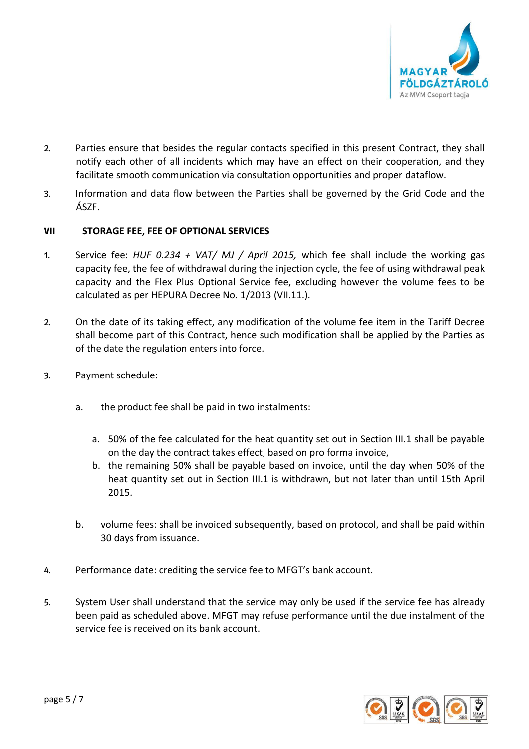

- 2. Parties ensure that besides the regular contacts specified in this present Contract, they shall notify each other of all incidents which may have an effect on their cooperation, and they facilitate smooth communication via consultation opportunities and proper dataflow.
- 3. Information and data flow between the Parties shall be governed by the Grid Code and the ÁSZF.

## **VII STORAGE FEE, FEE OF OPTIONAL SERVICES**

- 1. Service fee: *HUF 0.234 + VAT/ MJ / April 2015,* which fee shall include the working gas capacity fee, the fee of withdrawal during the injection cycle, the fee of using withdrawal peak capacity and the Flex Plus Optional Service fee, excluding however the volume fees to be calculated as per HEPURA Decree No. 1/2013 (VII.11.).
- 2. On the date of its taking effect, any modification of the volume fee item in the Tariff Decree shall become part of this Contract, hence such modification shall be applied by the Parties as of the date the regulation enters into force.
- 3. Payment schedule:
	- a. the product fee shall be paid in two instalments:
		- a. 50% of the fee calculated for the heat quantity set out in Section III.1 shall be payable on the day the contract takes effect, based on pro forma invoice,
		- b. the remaining 50% shall be payable based on invoice, until the day when 50% of the heat quantity set out in Section III.1 is withdrawn, but not later than until 15th April 2015.
	- b. volume fees: shall be invoiced subsequently, based on protocol, and shall be paid within 30 days from issuance.
- 4. Performance date: crediting the service fee to MFGT's bank account.
- 5. System User shall understand that the service may only be used if the service fee has already been paid as scheduled above. MFGT may refuse performance until the due instalment of the service fee is received on its bank account.

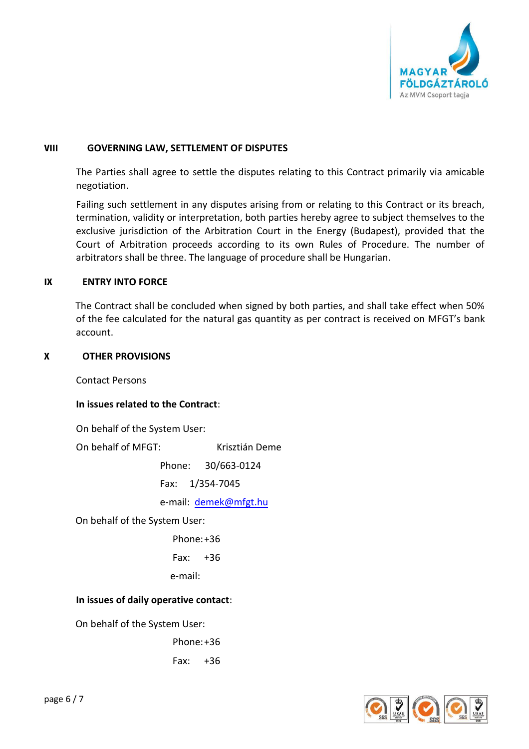

### **VIII GOVERNING LAW, SETTLEMENT OF DISPUTES**

The Parties shall agree to settle the disputes relating to this Contract primarily via amicable negotiation.

Failing such settlement in any disputes arising from or relating to this Contract or its breach, termination, validity or interpretation, both parties hereby agree to subject themselves to the exclusive jurisdiction of the Arbitration Court in the Energy (Budapest), provided that the Court of Arbitration proceeds according to its own Rules of Procedure. The number of arbitrators shall be three. The language of procedure shall be Hungarian.

#### **IX ENTRY INTO FORCE**

The Contract shall be concluded when signed by both parties, and shall take effect when 50% of the fee calculated for the natural gas quantity as per contract is received on MFGT's bank account.

#### **X OTHER PROVISIONS**

Contact Persons

### **In issues related to the Contract**:

On behalf of the System User:

On behalf of MFGT: Krisztián Deme

Phone: 30/663-0124

Fax: 1/354-7045

e-mail: [demek@mfgt.hu](mailto:demek@mfgt.hu)

On behalf of the System User:

Phone:+36

 $Fax: +36$ 

e-mail:

### **In issues of daily operative contact**:

On behalf of the System User:

Phone:+36

Fax: +36